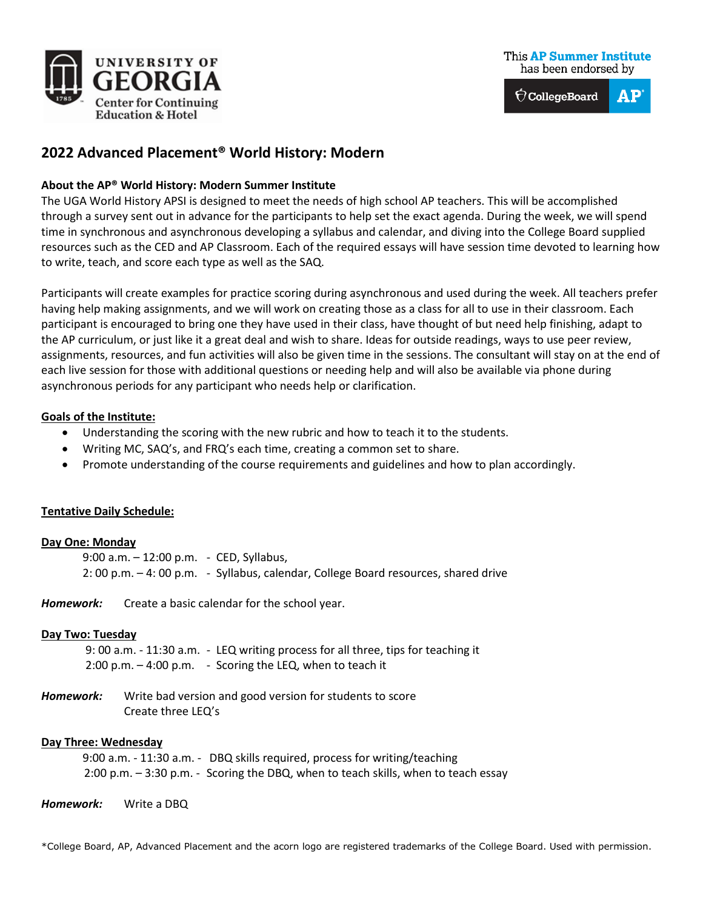

# **2022 Advanced Placement® World History: Modern**

# **About the AP® World History: Modern Summer Institute**

The UGA World History APSI is designed to meet the needs of high school AP teachers. This will be accomplished through a survey sent out in advance for the participants to help set the exact agenda. During the week, we will spend time in synchronous and asynchronous developing a syllabus and calendar, and diving into the College Board supplied resources such as the CED and AP Classroom. Each of the required essays will have session time devoted to learning how to write, teach, and score each type as well as the SAQ.

Participants will create examples for practice scoring during asynchronous and used during the week. All teachers prefer having help making assignments, and we will work on creating those as a class for all to use in their classroom. Each participant is encouraged to bring one they have used in their class, have thought of but need help finishing, adapt to the AP curriculum, or just like it a great deal and wish to share. Ideas for outside readings, ways to use peer review, assignments, resources, and fun activities will also be given time in the sessions. The consultant will stay on at the end of each live session for those with additional questions or needing help and will also be available via phone during asynchronous periods for any participant who needs help or clarification.

### **Goals of the Institute:**

- Understanding the scoring with the new rubric and how to teach it to the students.
- Writing MC, SAQ's, and FRQ's each time, creating a common set to share.
- Promote understanding of the course requirements and guidelines and how to plan accordingly.

# **Tentative Daily Schedule:**

# **Day One: Monday**

9:00 a.m. – 12:00 p.m. - CED, Syllabus, 2: 00 p.m. – 4: 00 p.m. - Syllabus, calendar, College Board resources, shared drive

*Homework:* Create a basic calendar for the school year.

# **Day Two: Tuesday**

9: 00 a.m. - 11:30 a.m. - LEQ writing process for all three, tips for teaching it 2:00 p.m.  $-4:00$  p.m.  $-$  Scoring the LEQ, when to teach it

*Homework:* Write bad version and good version for students to score Create three LEQ's

# **Day Three: Wednesday**

9:00 a.m. - 11:30 a.m. - DBQ skills required, process for writing/teaching 2:00 p.m. – 3:30 p.m. - Scoring the DBQ, when to teach skills, when to teach essay

*Homework:* Write a DBQ

\*College Board, AP, Advanced Placement and the acorn logo are registered trademarks of the College Board. Used with permission.